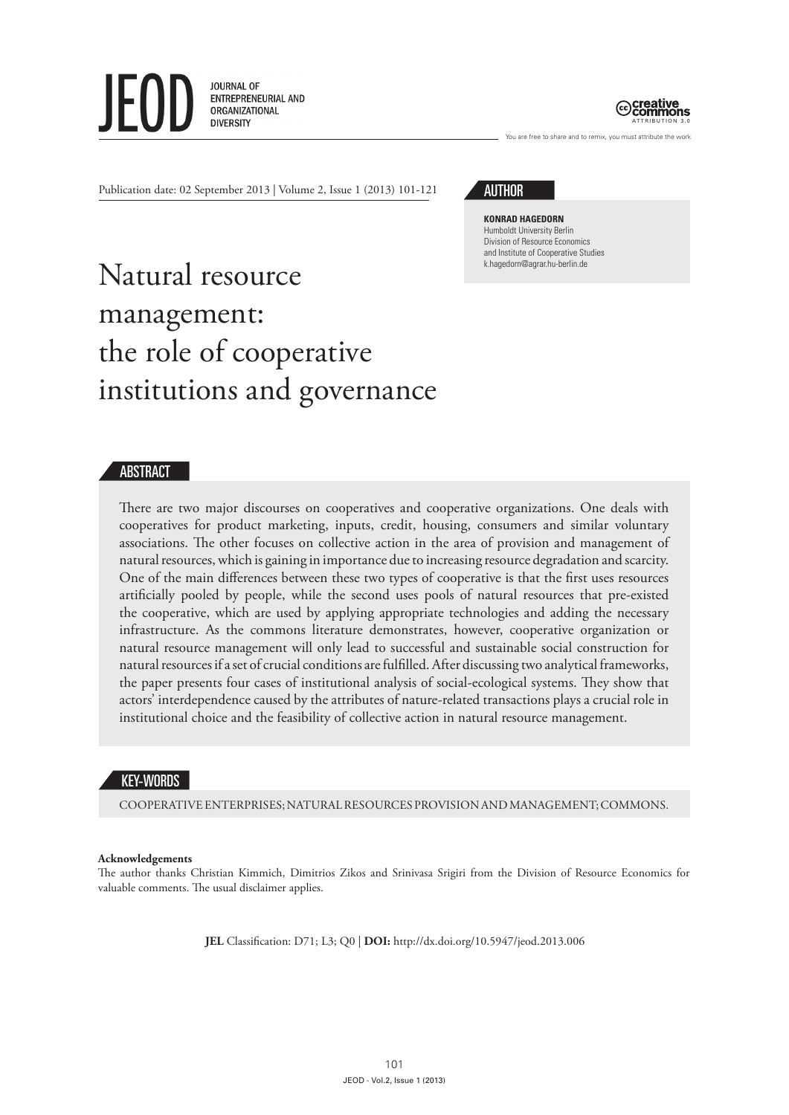**JOURNAL OF** ENTREPRENEURIAL AND ORGANIZATIONAL **DIVERSITY** 



You are free to share and to remix, you must attribute the work

Publication date: 02 September 2013 | Volume 2, Issue 1 (2013) 101-121

**AUTHOR** 

**Konrad Hagedorn** Humboldt University Berlin Division of Resource Economics and Institute of Cooperative Studies k.hagedorn@agrar.hu-berlin.de

# Natural resource management: the role of cooperative institutions and governance

## ABSTRACT

There are two major discourses on cooperatives and cooperative organizations. One deals with cooperatives for product marketing, inputs, credit, housing, consumers and similar voluntary associations. The other focuses on collective action in the area of provision and management of natural resources, which is gaining in importance due to increasing resource degradation and scarcity. One of the main differences between these two types of cooperative is that the first uses resources artificially pooled by people, while the second uses pools of natural resources that pre-existed the cooperative, which are used by applying appropriate technologies and adding the necessary infrastructure. As the commons literature demonstrates, however, cooperative organization or natural resource management will only lead to successful and sustainable social construction for natural resources if a set of crucial conditions are fulfilled. After discussing two analytical frameworks, the paper presents four cases of institutional analysis of social-ecological systems. They show that actors' interdependence caused by the attributes of nature-related transactions plays a crucial role in institutional choice and the feasibility of collective action in natural resource management.

## KEY-WORDS

COOPERATIVE ENTERPRISES; NATURAL RESOURCES PROVISION AND MANAGEMENT; COMMONS.

#### **Acknowledgements**

The author thanks Christian Kimmich, Dimitrios Zikos and Srinivasa Srigiri from the Division of Resource Economics for valuable comments. The usual disclaimer applies.

**JEL** Classification: D71; L3; Q0 | **DOI:** http://dx.doi.org/10.5947/jeod.2013.006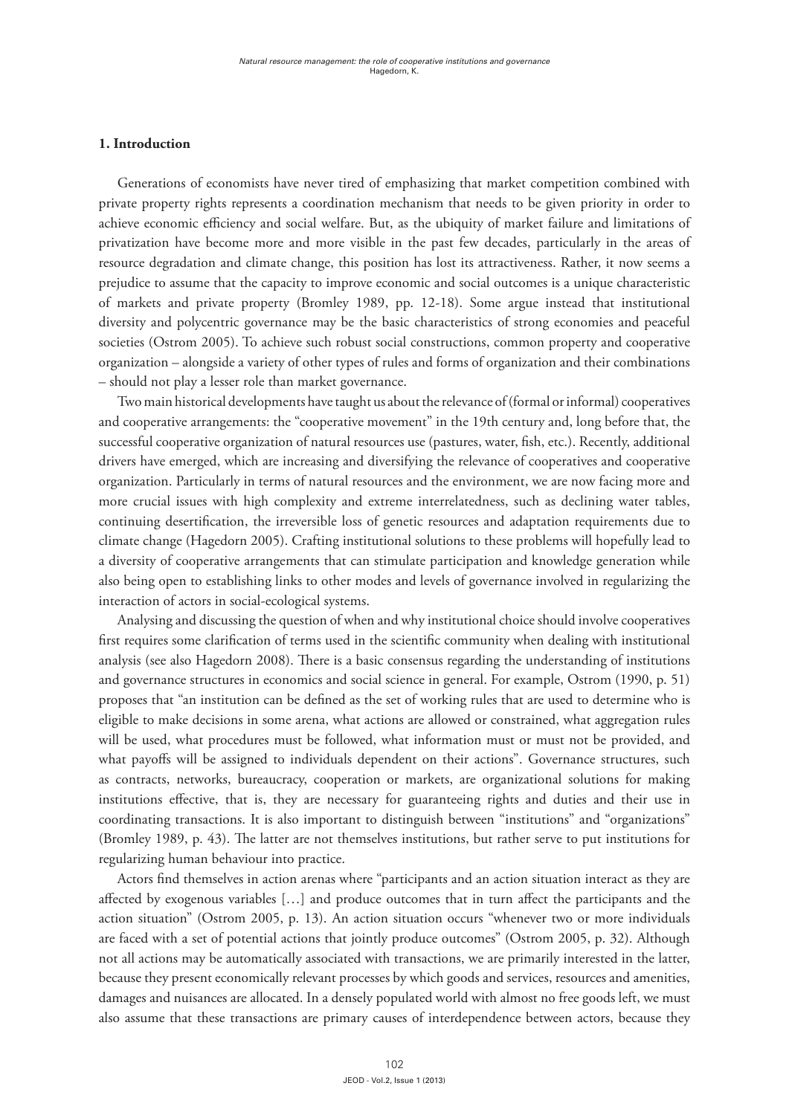## **1. Introduction**

Generations of economists have never tired of emphasizing that market competition combined with private property rights represents a coordination mechanism that needs to be given priority in order to achieve economic efficiency and social welfare. But, as the ubiquity of market failure and limitations of privatization have become more and more visible in the past few decades, particularly in the areas of resource degradation and climate change, this position has lost its attractiveness. Rather, it now seems a prejudice to assume that the capacity to improve economic and social outcomes is a unique characteristic of markets and private property (Bromley 1989, pp. 12-18). Some argue instead that institutional diversity and polycentric governance may be the basic characteristics of strong economies and peaceful societies (Ostrom 2005). To achieve such robust social constructions, common property and cooperative organization – alongside a variety of other types of rules and forms of organization and their combinations – should not play a lesser role than market governance.

Two main historical developments have taught us about the relevance of (formal or informal) cooperatives and cooperative arrangements: the "cooperative movement" in the 19th century and, long before that, the successful cooperative organization of natural resources use (pastures, water, fish, etc.). Recently, additional drivers have emerged, which are increasing and diversifying the relevance of cooperatives and cooperative organization. Particularly in terms of natural resources and the environment, we are now facing more and more crucial issues with high complexity and extreme interrelatedness, such as declining water tables, continuing desertification, the irreversible loss of genetic resources and adaptation requirements due to climate change (Hagedorn 2005). Crafting institutional solutions to these problems will hopefully lead to a diversity of cooperative arrangements that can stimulate participation and knowledge generation while also being open to establishing links to other modes and levels of governance involved in regularizing the interaction of actors in social-ecological systems.

Analysing and discussing the question of when and why institutional choice should involve cooperatives first requires some clarification of terms used in the scientific community when dealing with institutional analysis (see also Hagedorn 2008). There is a basic consensus regarding the understanding of institutions and governance structures in economics and social science in general. For example, Ostrom (1990, p. 51) proposes that "an institution can be defined as the set of working rules that are used to determine who is eligible to make decisions in some arena, what actions are allowed or constrained, what aggregation rules will be used, what procedures must be followed, what information must or must not be provided, and what payoffs will be assigned to individuals dependent on their actions". Governance structures, such as contracts, networks, bureaucracy, cooperation or markets, are organizational solutions for making institutions effective, that is, they are necessary for guaranteeing rights and duties and their use in coordinating transactions. It is also important to distinguish between "institutions" and "organizations" (Bromley 1989, p. 43). The latter are not themselves institutions, but rather serve to put institutions for regularizing human behaviour into practice.

Actors find themselves in action arenas where "participants and an action situation interact as they are affected by exogenous variables […] and produce outcomes that in turn affect the participants and the action situation" (Ostrom 2005, p. 13). An action situation occurs "whenever two or more individuals are faced with a set of potential actions that jointly produce outcomes" (Ostrom 2005, p. 32). Although not all actions may be automatically associated with transactions, we are primarily interested in the latter, because they present economically relevant processes by which goods and services, resources and amenities, damages and nuisances are allocated. In a densely populated world with almost no free goods left, we must also assume that these transactions are primary causes of interdependence between actors, because they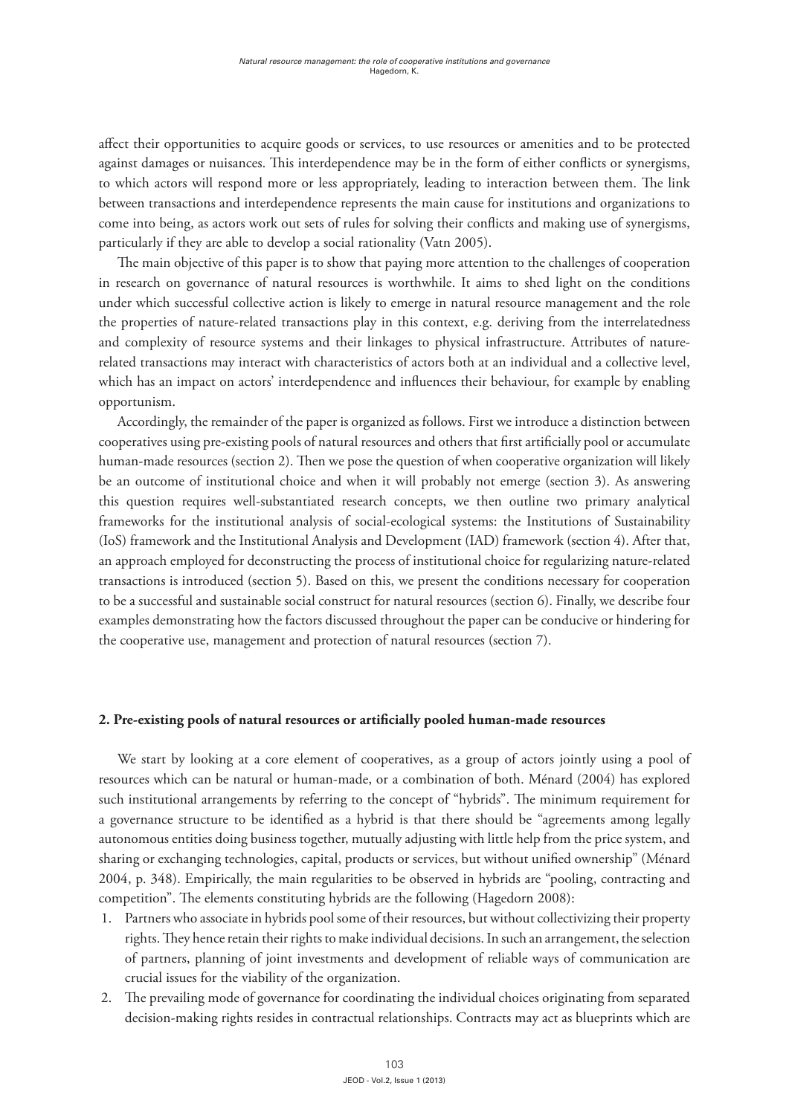affect their opportunities to acquire goods or services, to use resources or amenities and to be protected against damages or nuisances. This interdependence may be in the form of either conflicts or synergisms, to which actors will respond more or less appropriately, leading to interaction between them. The link between transactions and interdependence represents the main cause for institutions and organizations to come into being, as actors work out sets of rules for solving their conflicts and making use of synergisms, particularly if they are able to develop a social rationality (Vatn 2005).

The main objective of this paper is to show that paying more attention to the challenges of cooperation in research on governance of natural resources is worthwhile. It aims to shed light on the conditions under which successful collective action is likely to emerge in natural resource management and the role the properties of nature-related transactions play in this context, e.g. deriving from the interrelatedness and complexity of resource systems and their linkages to physical infrastructure. Attributes of naturerelated transactions may interact with characteristics of actors both at an individual and a collective level, which has an impact on actors' interdependence and influences their behaviour, for example by enabling opportunism.

Accordingly, the remainder of the paper is organized as follows. First we introduce a distinction between cooperatives using pre-existing pools of natural resources and others that first artificially pool or accumulate human-made resources (section 2). Then we pose the question of when cooperative organization will likely be an outcome of institutional choice and when it will probably not emerge (section 3). As answering this question requires well-substantiated research concepts, we then outline two primary analytical frameworks for the institutional analysis of social-ecological systems: the Institutions of Sustainability (IoS) framework and the Institutional Analysis and Development (IAD) framework (section 4). After that, an approach employed for deconstructing the process of institutional choice for regularizing nature-related transactions is introduced (section 5). Based on this, we present the conditions necessary for cooperation to be a successful and sustainable social construct for natural resources (section 6). Finally, we describe four examples demonstrating how the factors discussed throughout the paper can be conducive or hindering for the cooperative use, management and protection of natural resources (section 7).

## **2. Pre-existing pools of natural resources or artificially pooled human-made resources**

We start by looking at a core element of cooperatives, as a group of actors jointly using a pool of resources which can be natural or human-made, or a combination of both. Ménard (2004) has explored such institutional arrangements by referring to the concept of "hybrids". The minimum requirement for a governance structure to be identified as a hybrid is that there should be "agreements among legally autonomous entities doing business together, mutually adjusting with little help from the price system, and sharing or exchanging technologies, capital, products or services, but without unified ownership" (Ménard 2004, p. 348). Empirically, the main regularities to be observed in hybrids are "pooling, contracting and competition". The elements constituting hybrids are the following (Hagedorn 2008):

- 1. Partners who associate in hybrids pool some of their resources, but without collectivizing their property rights. They hence retain their rights to make individual decisions. In such an arrangement, the selection of partners, planning of joint investments and development of reliable ways of communication are crucial issues for the viability of the organization.
- 2. The prevailing mode of governance for coordinating the individual choices originating from separated decision-making rights resides in contractual relationships. Contracts may act as blueprints which are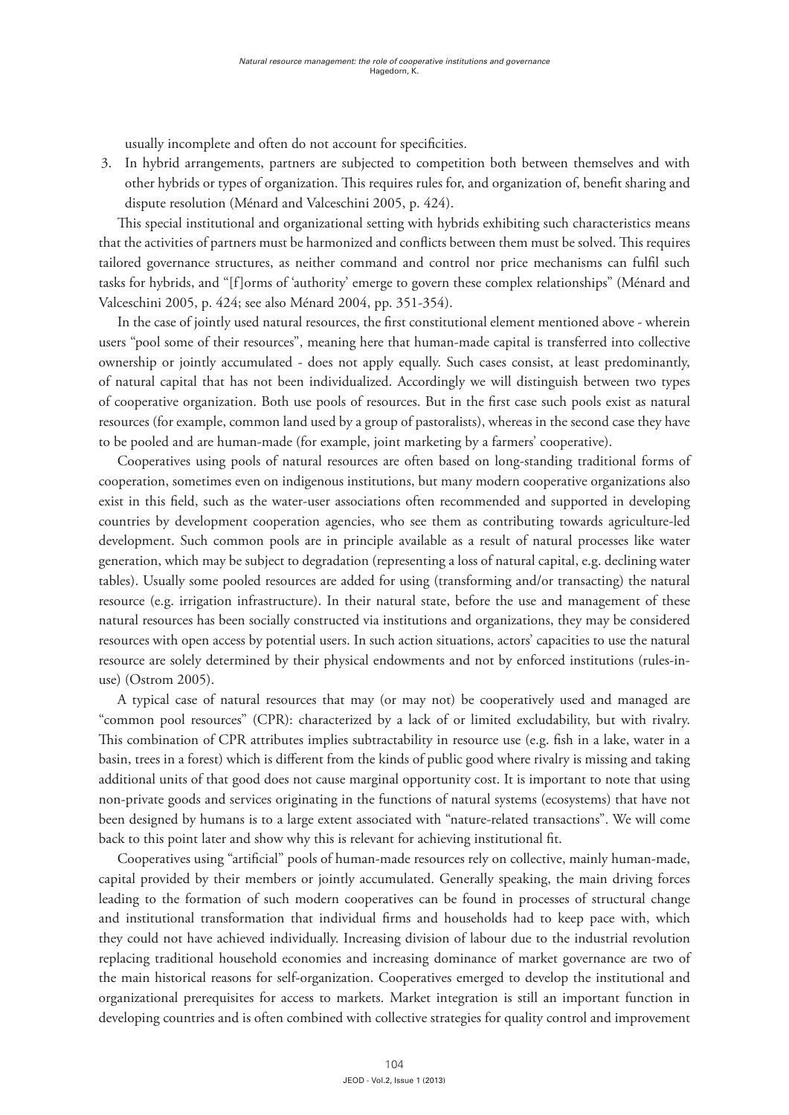usually incomplete and often do not account for specificities.

3. In hybrid arrangements, partners are subjected to competition both between themselves and with other hybrids or types of organization. This requires rules for, and organization of, benefit sharing and dispute resolution (Ménard and Valceschini 2005, p. 424).

This special institutional and organizational setting with hybrids exhibiting such characteristics means that the activities of partners must be harmonized and conflicts between them must be solved. This requires tailored governance structures, as neither command and control nor price mechanisms can fulfil such tasks for hybrids, and "[f]orms of 'authority' emerge to govern these complex relationships" (Ménard and Valceschini 2005, p. 424; see also Ménard 2004, pp. 351-354).

In the case of jointly used natural resources, the first constitutional element mentioned above - wherein users "pool some of their resources", meaning here that human-made capital is transferred into collective ownership or jointly accumulated - does not apply equally. Such cases consist, at least predominantly, of natural capital that has not been individualized. Accordingly we will distinguish between two types of cooperative organization. Both use pools of resources. But in the first case such pools exist as natural resources (for example, common land used by a group of pastoralists), whereas in the second case they have to be pooled and are human-made (for example, joint marketing by a farmers' cooperative).

Cooperatives using pools of natural resources are often based on long-standing traditional forms of cooperation, sometimes even on indigenous institutions, but many modern cooperative organizations also exist in this field, such as the water-user associations often recommended and supported in developing countries by development cooperation agencies, who see them as contributing towards agriculture-led development. Such common pools are in principle available as a result of natural processes like water generation, which may be subject to degradation (representing a loss of natural capital, e.g. declining water tables). Usually some pooled resources are added for using (transforming and/or transacting) the natural resource (e.g. irrigation infrastructure). In their natural state, before the use and management of these natural resources has been socially constructed via institutions and organizations, they may be considered resources with open access by potential users. In such action situations, actors' capacities to use the natural resource are solely determined by their physical endowments and not by enforced institutions (rules-inuse) (Ostrom 2005).

A typical case of natural resources that may (or may not) be cooperatively used and managed are "common pool resources" (CPR): characterized by a lack of or limited excludability, but with rivalry. This combination of CPR attributes implies subtractability in resource use (e.g. fish in a lake, water in a basin, trees in a forest) which is different from the kinds of public good where rivalry is missing and taking additional units of that good does not cause marginal opportunity cost. It is important to note that using non-private goods and services originating in the functions of natural systems (ecosystems) that have not been designed by humans is to a large extent associated with "nature-related transactions". We will come back to this point later and show why this is relevant for achieving institutional fit.

Cooperatives using "artificial" pools of human-made resources rely on collective, mainly human-made, capital provided by their members or jointly accumulated. Generally speaking, the main driving forces leading to the formation of such modern cooperatives can be found in processes of structural change and institutional transformation that individual firms and households had to keep pace with, which they could not have achieved individually. Increasing division of labour due to the industrial revolution replacing traditional household economies and increasing dominance of market governance are two of the main historical reasons for self-organization. Cooperatives emerged to develop the institutional and organizational prerequisites for access to markets. Market integration is still an important function in developing countries and is often combined with collective strategies for quality control and improvement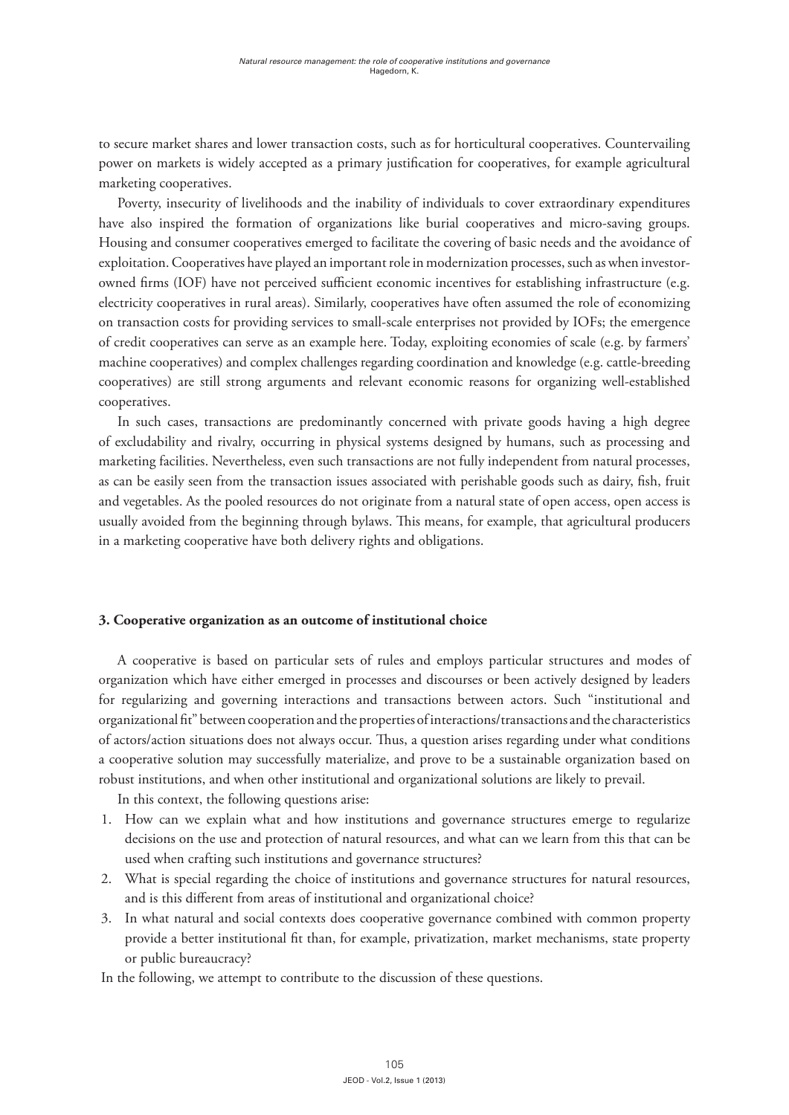to secure market shares and lower transaction costs, such as for horticultural cooperatives. Countervailing power on markets is widely accepted as a primary justification for cooperatives, for example agricultural marketing cooperatives.

Poverty, insecurity of livelihoods and the inability of individuals to cover extraordinary expenditures have also inspired the formation of organizations like burial cooperatives and micro-saving groups. Housing and consumer cooperatives emerged to facilitate the covering of basic needs and the avoidance of exploitation. Cooperatives have played an important role in modernization processes, such as when investorowned firms (IOF) have not perceived sufficient economic incentives for establishing infrastructure (e.g. electricity cooperatives in rural areas). Similarly, cooperatives have often assumed the role of economizing on transaction costs for providing services to small-scale enterprises not provided by IOFs; the emergence of credit cooperatives can serve as an example here. Today, exploiting economies of scale (e.g. by farmers' machine cooperatives) and complex challenges regarding coordination and knowledge (e.g. cattle-breeding cooperatives) are still strong arguments and relevant economic reasons for organizing well-established cooperatives.

In such cases, transactions are predominantly concerned with private goods having a high degree of excludability and rivalry, occurring in physical systems designed by humans, such as processing and marketing facilities. Nevertheless, even such transactions are not fully independent from natural processes, as can be easily seen from the transaction issues associated with perishable goods such as dairy, fish, fruit and vegetables. As the pooled resources do not originate from a natural state of open access, open access is usually avoided from the beginning through bylaws. This means, for example, that agricultural producers in a marketing cooperative have both delivery rights and obligations.

## **3. Cooperative organization as an outcome of institutional choice**

A cooperative is based on particular sets of rules and employs particular structures and modes of organization which have either emerged in processes and discourses or been actively designed by leaders for regularizing and governing interactions and transactions between actors. Such "institutional and organizational fit" between cooperation and the properties of interactions/transactions and the characteristics of actors/action situations does not always occur. Thus, a question arises regarding under what conditions a cooperative solution may successfully materialize, and prove to be a sustainable organization based on robust institutions, and when other institutional and organizational solutions are likely to prevail.

In this context, the following questions arise:

- 1. How can we explain what and how institutions and governance structures emerge to regularize decisions on the use and protection of natural resources, and what can we learn from this that can be used when crafting such institutions and governance structures?
- 2. What is special regarding the choice of institutions and governance structures for natural resources, and is this different from areas of institutional and organizational choice?
- 3. In what natural and social contexts does cooperative governance combined with common property provide a better institutional fit than, for example, privatization, market mechanisms, state property or public bureaucracy?

In the following, we attempt to contribute to the discussion of these questions.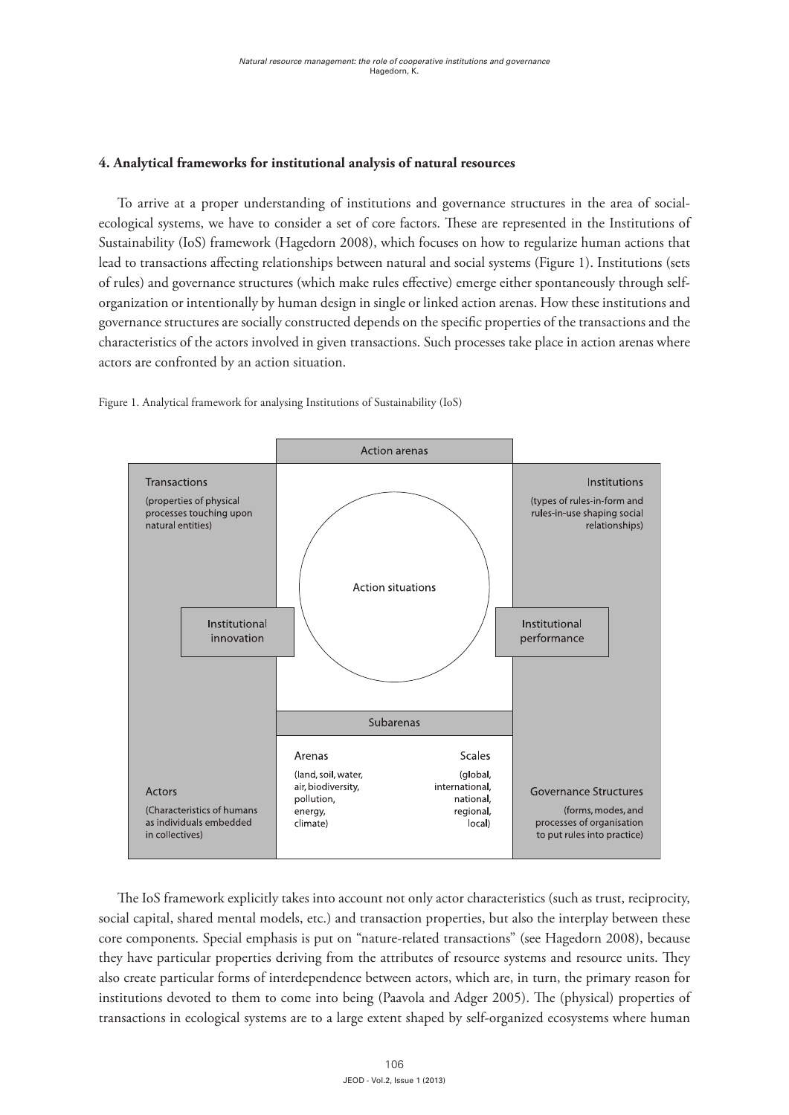## **4. Analytical frameworks for institutional analysis of natural resources**

To arrive at a proper understanding of institutions and governance structures in the area of socialecological systems, we have to consider a set of core factors. These are represented in the Institutions of Sustainability (IoS) framework (Hagedorn 2008), which focuses on how to regularize human actions that lead to transactions affecting relationships between natural and social systems (Figure 1). Institutions (sets of rules) and governance structures (which make rules effective) emerge either spontaneously through selforganization or intentionally by human design in single or linked action arenas. How these institutions and governance structures are socially constructed depends on the specific properties of the transactions and the characteristics of the actors involved in given transactions. Such processes take place in action arenas where actors are confronted by an action situation.



Figure 1. Analytical framework for analysing Institutions of Sustainability (IoS)

The IoS framework explicitly takes into account not only actor characteristics (such as trust, reciprocity, social capital, shared mental models, etc.) and transaction properties, but also the interplay between these core components. Special emphasis is put on "nature-related transactions" (see Hagedorn 2008), because they have particular properties deriving from the attributes of resource systems and resource units. They also create particular forms of interdependence between actors, which are, in turn, the primary reason for institutions devoted to them to come into being (Paavola and Adger 2005). The (physical) properties of transactions in ecological systems are to a large extent shaped by self-organized ecosystems where human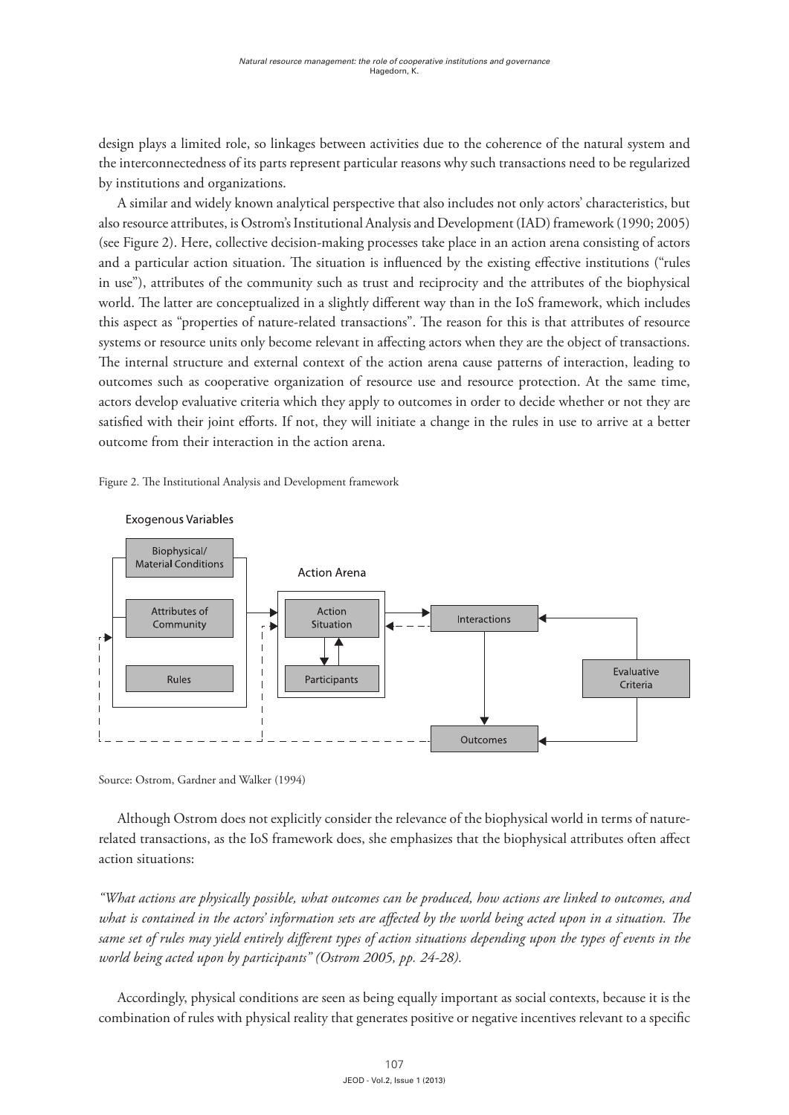design plays a limited role, so linkages between activities due to the coherence of the natural system and the interconnectedness of its parts represent particular reasons why such transactions need to be regularized by institutions and organizations.

A similar and widely known analytical perspective that also includes not only actors' characteristics, but also resource attributes, is Ostrom's Institutional Analysis and Development (IAD) framework (1990; 2005) (see Figure 2). Here, collective decision-making processes take place in an action arena consisting of actors and a particular action situation. The situation is influenced by the existing effective institutions ("rules in use"), attributes of the community such as trust and reciprocity and the attributes of the biophysical world. The latter are conceptualized in a slightly different way than in the IoS framework, which includes this aspect as "properties of nature-related transactions". The reason for this is that attributes of resource systems or resource units only become relevant in affecting actors when they are the object of transactions. The internal structure and external context of the action arena cause patterns of interaction, leading to outcomes such as cooperative organization of resource use and resource protection. At the same time, actors develop evaluative criteria which they apply to outcomes in order to decide whether or not they are satisfied with their joint efforts. If not, they will initiate a change in the rules in use to arrive at a better outcome from their interaction in the action arena.

Figure 2. The Institutional Analysis and Development framework



Exogenous Variables

Source: Ostrom, Gardner and Walker (1994)

Although Ostrom does not explicitly consider the relevance of the biophysical world in terms of naturerelated transactions, as the IoS framework does, she emphasizes that the biophysical attributes often affect action situations:

*"What actions are physically possible, what outcomes can be produced, how actions are linked to outcomes, and what is contained in the actors' information sets are affected by the world being acted upon in a situation. The same set of rules may yield entirely different types of action situations depending upon the types of events in the world being acted upon by participants" (Ostrom 2005, pp. 24-28).*

Accordingly, physical conditions are seen as being equally important as social contexts, because it is the combination of rules with physical reality that generates positive or negative incentives relevant to a specific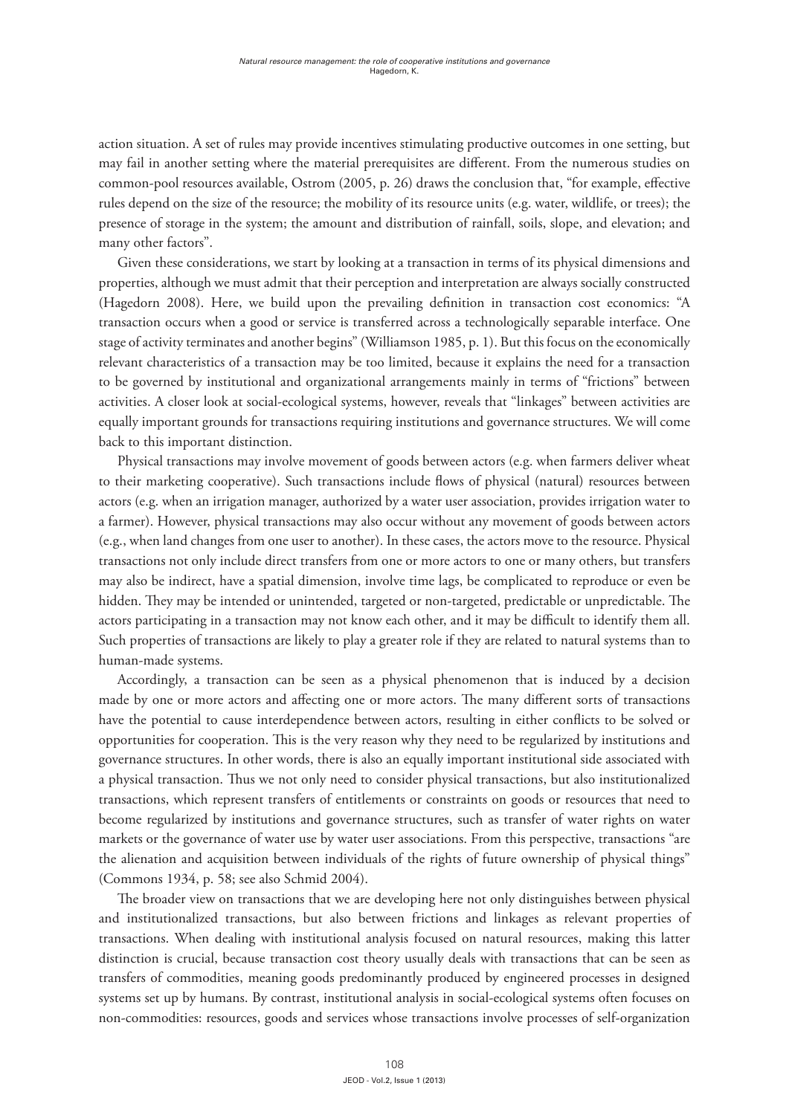action situation. A set of rules may provide incentives stimulating productive outcomes in one setting, but may fail in another setting where the material prerequisites are different. From the numerous studies on common-pool resources available, Ostrom (2005, p. 26) draws the conclusion that, "for example, effective rules depend on the size of the resource; the mobility of its resource units (e.g. water, wildlife, or trees); the presence of storage in the system; the amount and distribution of rainfall, soils, slope, and elevation; and many other factors".

Given these considerations, we start by looking at a transaction in terms of its physical dimensions and properties, although we must admit that their perception and interpretation are always socially constructed (Hagedorn 2008). Here, we build upon the prevailing definition in transaction cost economics: "A transaction occurs when a good or service is transferred across a technologically separable interface. One stage of activity terminates and another begins" (Williamson 1985, p. 1). But this focus on the economically relevant characteristics of a transaction may be too limited, because it explains the need for a transaction to be governed by institutional and organizational arrangements mainly in terms of "frictions" between activities. A closer look at social-ecological systems, however, reveals that "linkages" between activities are equally important grounds for transactions requiring institutions and governance structures. We will come back to this important distinction.

Physical transactions may involve movement of goods between actors (e.g. when farmers deliver wheat to their marketing cooperative). Such transactions include flows of physical (natural) resources between actors (e.g. when an irrigation manager, authorized by a water user association, provides irrigation water to a farmer). However, physical transactions may also occur without any movement of goods between actors (e.g., when land changes from one user to another). In these cases, the actors move to the resource. Physical transactions not only include direct transfers from one or more actors to one or many others, but transfers may also be indirect, have a spatial dimension, involve time lags, be complicated to reproduce or even be hidden. They may be intended or unintended, targeted or non-targeted, predictable or unpredictable. The actors participating in a transaction may not know each other, and it may be difficult to identify them all. Such properties of transactions are likely to play a greater role if they are related to natural systems than to human-made systems.

Accordingly, a transaction can be seen as a physical phenomenon that is induced by a decision made by one or more actors and affecting one or more actors. The many different sorts of transactions have the potential to cause interdependence between actors, resulting in either conflicts to be solved or opportunities for cooperation. This is the very reason why they need to be regularized by institutions and governance structures. In other words, there is also an equally important institutional side associated with a physical transaction. Thus we not only need to consider physical transactions, but also institutionalized transactions, which represent transfers of entitlements or constraints on goods or resources that need to become regularized by institutions and governance structures, such as transfer of water rights on water markets or the governance of water use by water user associations. From this perspective, transactions "are the alienation and acquisition between individuals of the rights of future ownership of physical things" (Commons 1934, p. 58; see also Schmid 2004).

The broader view on transactions that we are developing here not only distinguishes between physical and institutionalized transactions, but also between frictions and linkages as relevant properties of transactions. When dealing with institutional analysis focused on natural resources, making this latter distinction is crucial, because transaction cost theory usually deals with transactions that can be seen as transfers of commodities, meaning goods predominantly produced by engineered processes in designed systems set up by humans. By contrast, institutional analysis in social-ecological systems often focuses on non-commodities: resources, goods and services whose transactions involve processes of self-organization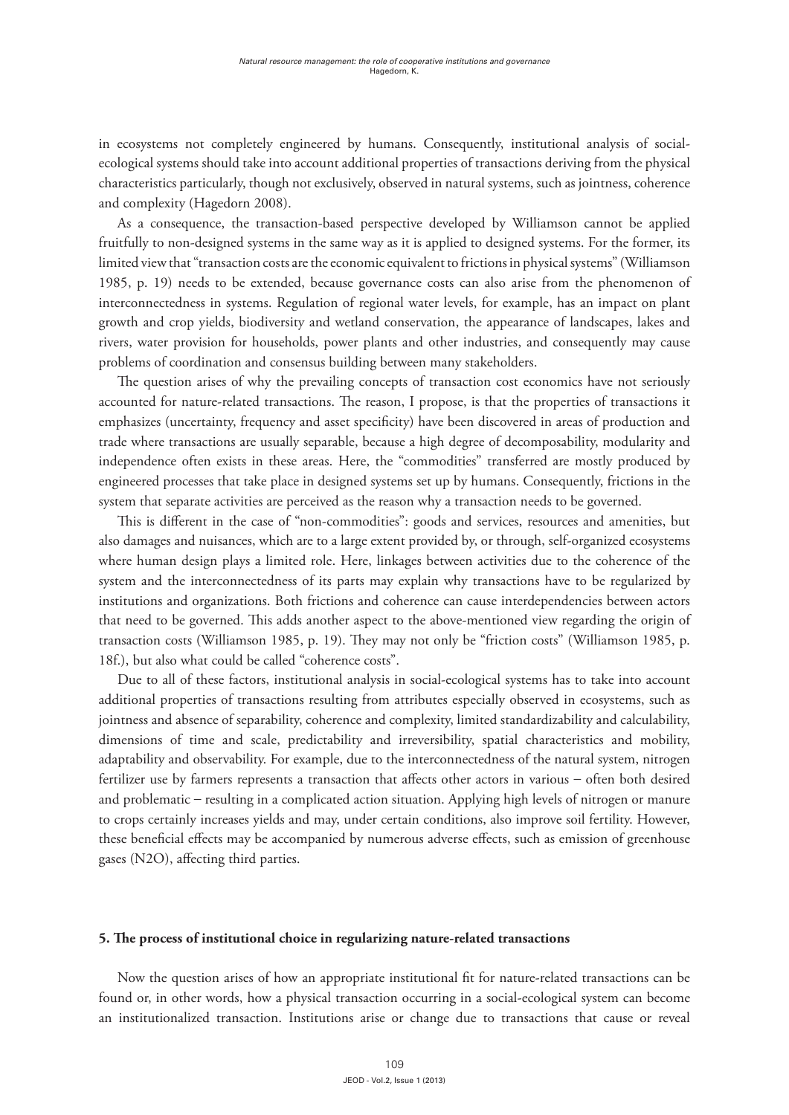in ecosystems not completely engineered by humans. Consequently, institutional analysis of socialecological systems should take into account additional properties of transactions deriving from the physical characteristics particularly, though not exclusively, observed in natural systems, such as jointness, coherence and complexity (Hagedorn 2008).

As a consequence, the transaction-based perspective developed by Williamson cannot be applied fruitfully to non-designed systems in the same way as it is applied to designed systems. For the former, its limited view that "transaction costs are the economic equivalent to frictions in physical systems" (Williamson 1985, p. 19) needs to be extended, because governance costs can also arise from the phenomenon of interconnectedness in systems. Regulation of regional water levels, for example, has an impact on plant growth and crop yields, biodiversity and wetland conservation, the appearance of landscapes, lakes and rivers, water provision for households, power plants and other industries, and consequently may cause problems of coordination and consensus building between many stakeholders.

The question arises of why the prevailing concepts of transaction cost economics have not seriously accounted for nature-related transactions. The reason, I propose, is that the properties of transactions it emphasizes (uncertainty, frequency and asset specificity) have been discovered in areas of production and trade where transactions are usually separable, because a high degree of decomposability, modularity and independence often exists in these areas. Here, the "commodities" transferred are mostly produced by engineered processes that take place in designed systems set up by humans. Consequently, frictions in the system that separate activities are perceived as the reason why a transaction needs to be governed.

This is different in the case of "non-commodities": goods and services, resources and amenities, but also damages and nuisances, which are to a large extent provided by, or through, self-organized ecosystems where human design plays a limited role. Here, linkages between activities due to the coherence of the system and the interconnectedness of its parts may explain why transactions have to be regularized by institutions and organizations. Both frictions and coherence can cause interdependencies between actors that need to be governed. This adds another aspect to the above-mentioned view regarding the origin of transaction costs (Williamson 1985, p. 19). They may not only be "friction costs" (Williamson 1985, p. 18f.), but also what could be called "coherence costs".

Due to all of these factors, institutional analysis in social-ecological systems has to take into account additional properties of transactions resulting from attributes especially observed in ecosystems, such as jointness and absence of separability, coherence and complexity, limited standardizability and calculability, dimensions of time and scale, predictability and irreversibility, spatial characteristics and mobility, adaptability and observability. For example, due to the interconnectedness of the natural system, nitrogen fertilizer use by farmers represents a transaction that affects other actors in various – often both desired and problematic – resulting in a complicated action situation. Applying high levels of nitrogen or manure to crops certainly increases yields and may, under certain conditions, also improve soil fertility. However, these beneficial effects may be accompanied by numerous adverse effects, such as emission of greenhouse gases (N2O), affecting third parties.

#### **5. The process of institutional choice in regularizing nature-related transactions**

Now the question arises of how an appropriate institutional fit for nature-related transactions can be found or, in other words, how a physical transaction occurring in a social-ecological system can become an institutionalized transaction. Institutions arise or change due to transactions that cause or reveal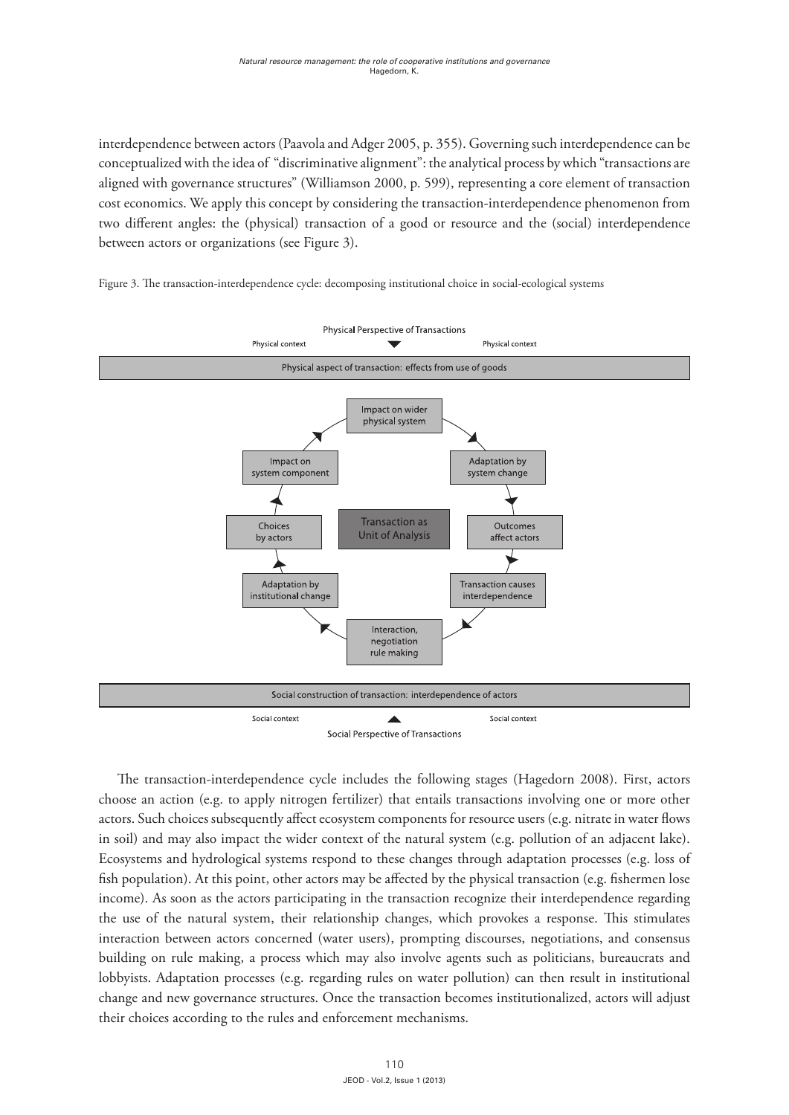interdependence between actors (Paavola and Adger 2005, p. 355). Governing such interdependence can be conceptualized with the idea of "discriminative alignment": the analytical process by which "transactions are aligned with governance structures" (Williamson 2000, p. 599), representing a core element of transaction cost economics. We apply this concept by considering the transaction-interdependence phenomenon from two different angles: the (physical) transaction of a good or resource and the (social) interdependence between actors or organizations (see Figure 3).



Figure 3. The transaction-interdependence cycle: decomposing institutional choice in social-ecological systems

The transaction-interdependence cycle includes the following stages (Hagedorn 2008). First, actors choose an action (e.g. to apply nitrogen fertilizer) that entails transactions involving one or more other actors. Such choices subsequently affect ecosystem components for resource users (e.g. nitrate in water flows in soil) and may also impact the wider context of the natural system (e.g. pollution of an adjacent lake). Ecosystems and hydrological systems respond to these changes through adaptation processes (e.g. loss of fish population). At this point, other actors may be affected by the physical transaction (e.g. fishermen lose income). As soon as the actors participating in the transaction recognize their interdependence regarding the use of the natural system, their relationship changes, which provokes a response. This stimulates interaction between actors concerned (water users), prompting discourses, negotiations, and consensus building on rule making, a process which may also involve agents such as politicians, bureaucrats and lobbyists. Adaptation processes (e.g. regarding rules on water pollution) can then result in institutional change and new governance structures. Once the transaction becomes institutionalized, actors will adjust their choices according to the rules and enforcement mechanisms.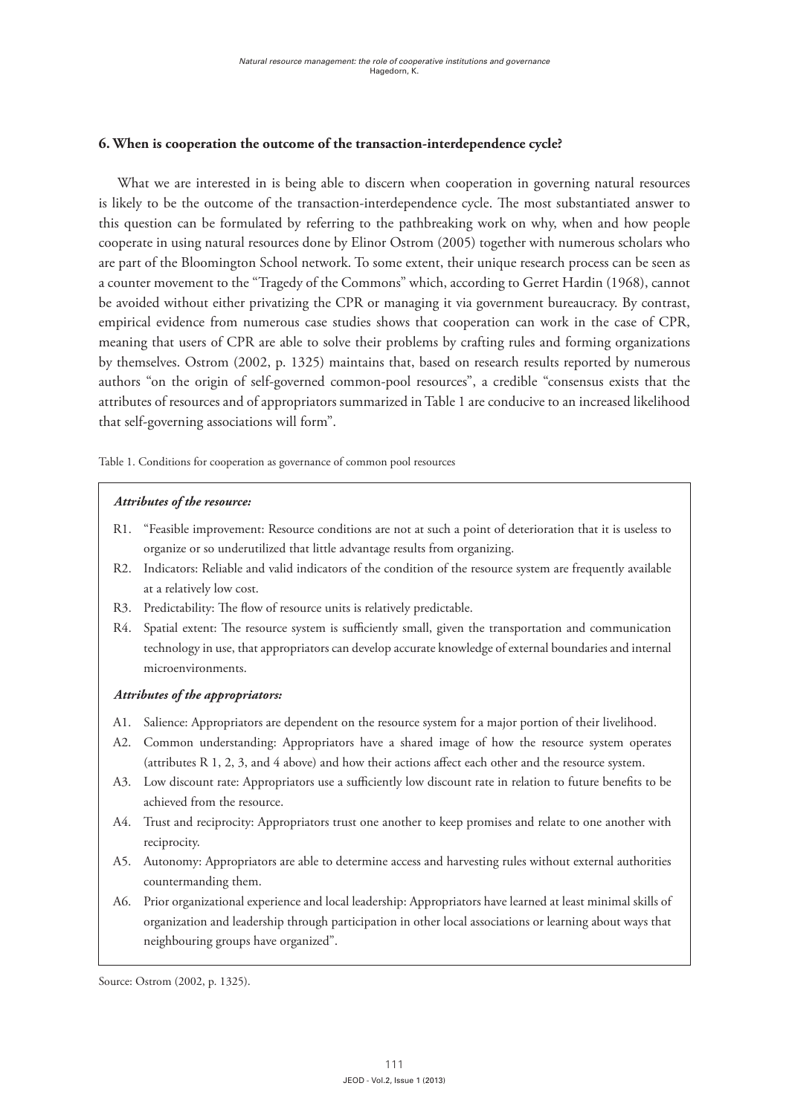## **6. When is cooperation the outcome of the transaction-interdependence cycle?**

What we are interested in is being able to discern when cooperation in governing natural resources is likely to be the outcome of the transaction-interdependence cycle. The most substantiated answer to this question can be formulated by referring to the pathbreaking work on why, when and how people cooperate in using natural resources done by Elinor Ostrom (2005) together with numerous scholars who are part of the Bloomington School network. To some extent, their unique research process can be seen as a counter movement to the "Tragedy of the Commons" which, according to Gerret Hardin (1968), cannot be avoided without either privatizing the CPR or managing it via government bureaucracy. By contrast, empirical evidence from numerous case studies shows that cooperation can work in the case of CPR, meaning that users of CPR are able to solve their problems by crafting rules and forming organizations by themselves. Ostrom (2002, p. 1325) maintains that, based on research results reported by numerous authors "on the origin of self-governed common-pool resources", a credible "consensus exists that the attributes of resources and of appropriators summarized in Table 1 are conducive to an increased likelihood that self-governing associations will form".

Table 1. Conditions for cooperation as governance of common pool resources

#### *Attributes of the resource:*

- R1. "Feasible improvement: Resource conditions are not at such a point of deterioration that it is useless to organize or so underutilized that little advantage results from organizing.
- R2. Indicators: Reliable and valid indicators of the condition of the resource system are frequently available at a relatively low cost.
- R3. Predictability: The flow of resource units is relatively predictable.
- R4. Spatial extent: The resource system is sufficiently small, given the transportation and communication technology in use, that appropriators can develop accurate knowledge of external boundaries and internal microenvironments.

#### *Attributes of the appropriators:*

- A1. Salience: Appropriators are dependent on the resource system for a major portion of their livelihood.
- A2. Common understanding: Appropriators have a shared image of how the resource system operates (attributes R 1, 2, 3, and 4 above) and how their actions affect each other and the resource system.
- A3. Low discount rate: Appropriators use a sufficiently low discount rate in relation to future benefits to be achieved from the resource.
- A4. Trust and reciprocity: Appropriators trust one another to keep promises and relate to one another with reciprocity.
- A5. Autonomy: Appropriators are able to determine access and harvesting rules without external authorities countermanding them.
- A6. Prior organizational experience and local leadership: Appropriators have learned at least minimal skills of organization and leadership through participation in other local associations or learning about ways that neighbouring groups have organized".

Source: Ostrom (2002, p. 1325).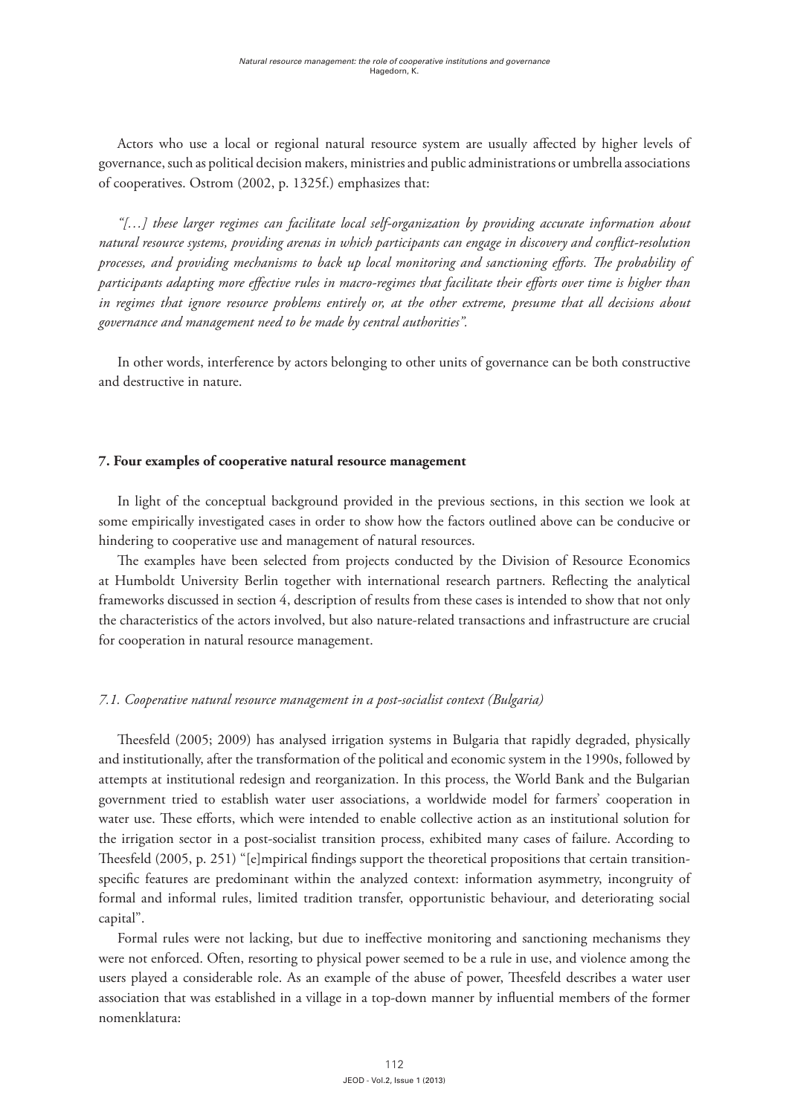Actors who use a local or regional natural resource system are usually affected by higher levels of governance, such as political decision makers, ministries and public administrations or umbrella associations of cooperatives. Ostrom (2002, p. 1325f.) emphasizes that:

*"[…] these larger regimes can facilitate local self-organization by providing accurate information about natural resource systems, providing arenas in which participants can engage in discovery and conflict-resolution processes, and providing mechanisms to back up local monitoring and sanctioning efforts. The probability of participants adapting more effective rules in macro-regimes that facilitate their efforts over time is higher than in regimes that ignore resource problems entirely or, at the other extreme, presume that all decisions about governance and management need to be made by central authorities".*

In other words, interference by actors belonging to other units of governance can be both constructive and destructive in nature.

## **7. Four examples of cooperative natural resource management**

In light of the conceptual background provided in the previous sections, in this section we look at some empirically investigated cases in order to show how the factors outlined above can be conducive or hindering to cooperative use and management of natural resources.

The examples have been selected from projects conducted by the Division of Resource Economics at Humboldt University Berlin together with international research partners. Reflecting the analytical frameworks discussed in section 4, description of results from these cases is intended to show that not only the characteristics of the actors involved, but also nature-related transactions and infrastructure are crucial for cooperation in natural resource management.

## *7.1. Cooperative natural resource management in a post-socialist context (Bulgaria)*

Theesfeld (2005; 2009) has analysed irrigation systems in Bulgaria that rapidly degraded, physically and institutionally, after the transformation of the political and economic system in the 1990s, followed by attempts at institutional redesign and reorganization. In this process, the World Bank and the Bulgarian government tried to establish water user associations, a worldwide model for farmers' cooperation in water use. These efforts, which were intended to enable collective action as an institutional solution for the irrigation sector in a post-socialist transition process, exhibited many cases of failure. According to Theesfeld (2005, p. 251) "[e]mpirical findings support the theoretical propositions that certain transitionspecific features are predominant within the analyzed context: information asymmetry, incongruity of formal and informal rules, limited tradition transfer, opportunistic behaviour, and deteriorating social capital".

Formal rules were not lacking, but due to ineffective monitoring and sanctioning mechanisms they were not enforced. Often, resorting to physical power seemed to be a rule in use, and violence among the users played a considerable role. As an example of the abuse of power, Theesfeld describes a water user association that was established in a village in a top-down manner by influential members of the former nomenklatura: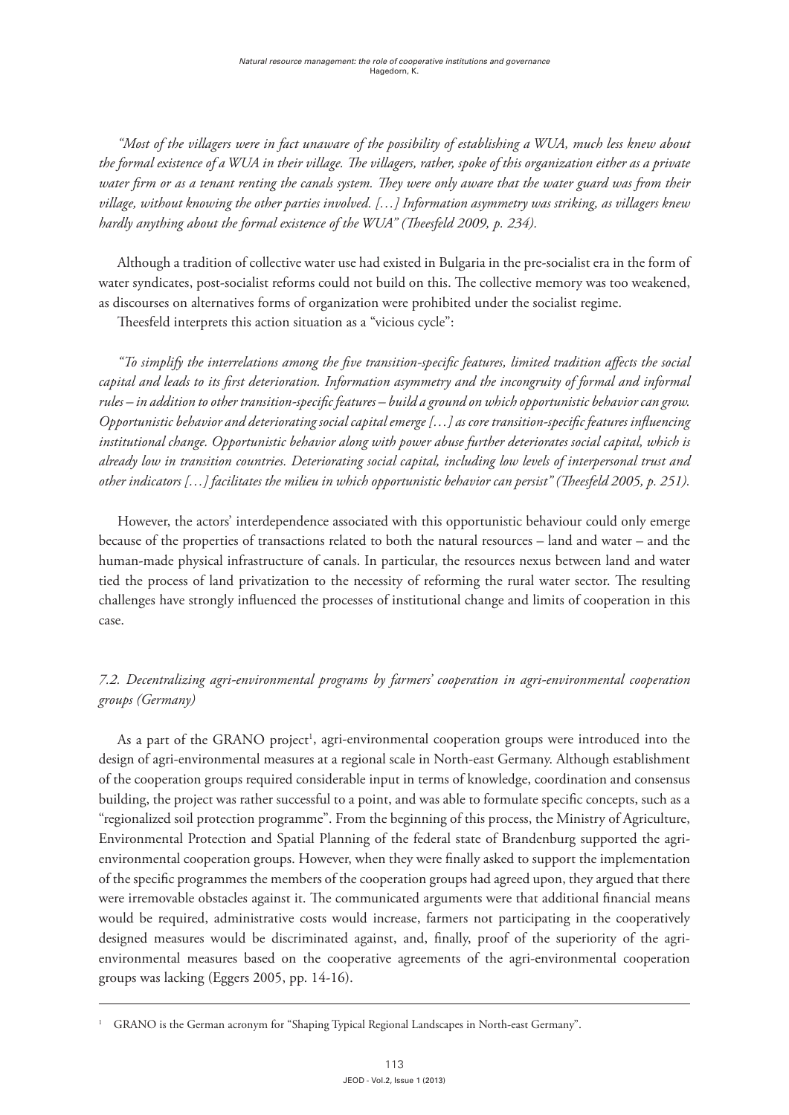*"Most of the villagers were in fact unaware of the possibility of establishing a WUA, much less knew about the formal existence of a WUA in their village. The villagers, rather, spoke of this organization either as a private water firm or as a tenant renting the canals system. They were only aware that the water guard was from their village, without knowing the other parties involved. […] Information asymmetry was striking, as villagers knew hardly anything about the formal existence of the WUA" (Theesfeld 2009, p. 234).*

Although a tradition of collective water use had existed in Bulgaria in the pre-socialist era in the form of water syndicates, post-socialist reforms could not build on this. The collective memory was too weakened, as discourses on alternatives forms of organization were prohibited under the socialist regime.

Theesfeld interprets this action situation as a "vicious cycle":

*"To simplify the interrelations among the five transition-specific features, limited tradition affects the social capital and leads to its first deterioration. Information asymmetry and the incongruity of formal and informal rules – in addition to other transition-specific features – build a ground on which opportunistic behavior can grow. Opportunistic behavior and deteriorating social capital emerge […] as core transition-specific features influencing institutional change. Opportunistic behavior along with power abuse further deteriorates social capital, which is already low in transition countries. Deteriorating social capital, including low levels of interpersonal trust and other indicators […] facilitates the milieu in which opportunistic behavior can persist" (Theesfeld 2005, p. 251).*

However, the actors' interdependence associated with this opportunistic behaviour could only emerge because of the properties of transactions related to both the natural resources – land and water – and the human-made physical infrastructure of canals. In particular, the resources nexus between land and water tied the process of land privatization to the necessity of reforming the rural water sector. The resulting challenges have strongly influenced the processes of institutional change and limits of cooperation in this case.

## *7.2. Decentralizing agri-environmental programs by farmers' cooperation in agri-environmental cooperation groups (Germany)*

As a part of the GRANO project<sup>1</sup>, agri-environmental cooperation groups were introduced into the design of agri-environmental measures at a regional scale in North-east Germany. Although establishment of the cooperation groups required considerable input in terms of knowledge, coordination and consensus building, the project was rather successful to a point, and was able to formulate specific concepts, such as a "regionalized soil protection programme". From the beginning of this process, the Ministry of Agriculture, Environmental Protection and Spatial Planning of the federal state of Brandenburg supported the agrienvironmental cooperation groups. However, when they were finally asked to support the implementation of the specific programmes the members of the cooperation groups had agreed upon, they argued that there were irremovable obstacles against it. The communicated arguments were that additional financial means would be required, administrative costs would increase, farmers not participating in the cooperatively designed measures would be discriminated against, and, finally, proof of the superiority of the agrienvironmental measures based on the cooperative agreements of the agri-environmental cooperation groups was lacking (Eggers 2005, pp. 14-16).

<sup>1</sup> GRANO is the German acronym for "Shaping Typical Regional Landscapes in North-east Germany".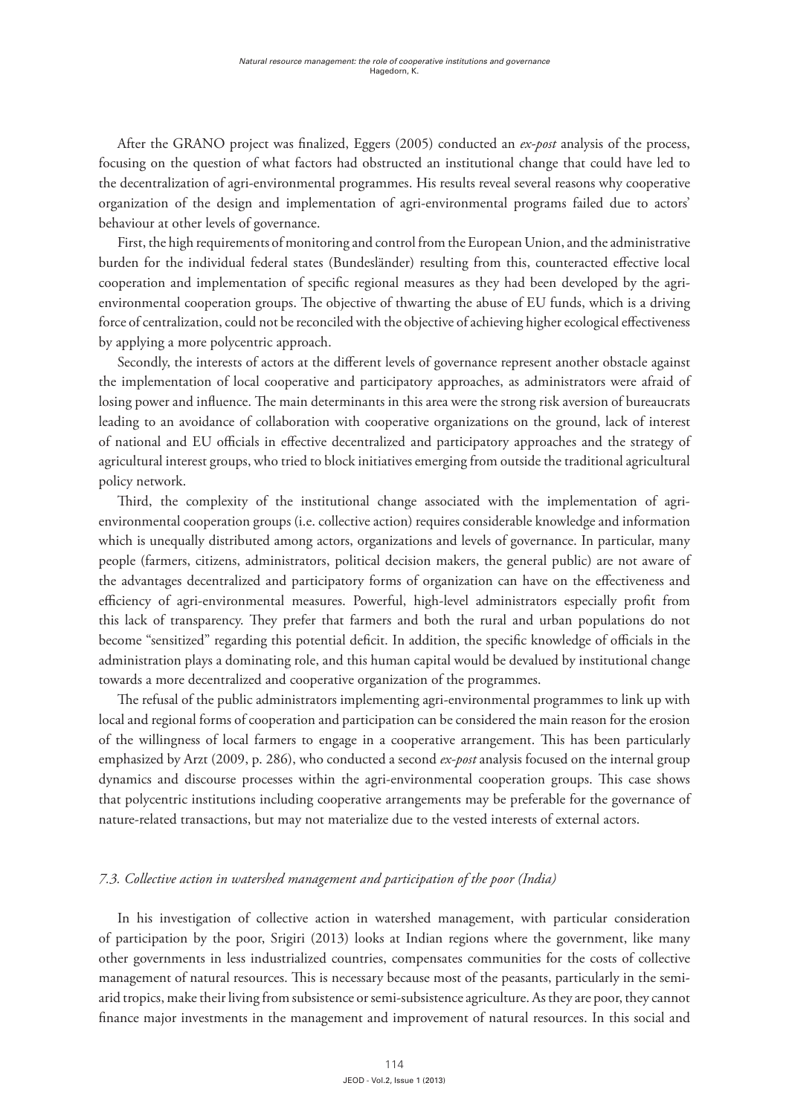After the GRANO project was finalized, Eggers (2005) conducted an *ex-post* analysis of the process, focusing on the question of what factors had obstructed an institutional change that could have led to the decentralization of agri-environmental programmes. His results reveal several reasons why cooperative organization of the design and implementation of agri-environmental programs failed due to actors' behaviour at other levels of governance.

First, the high requirements of monitoring and control from the European Union, and the administrative burden for the individual federal states (Bundesländer) resulting from this, counteracted effective local cooperation and implementation of specific regional measures as they had been developed by the agrienvironmental cooperation groups. The objective of thwarting the abuse of EU funds, which is a driving force of centralization, could not be reconciled with the objective of achieving higher ecological effectiveness by applying a more polycentric approach.

Secondly, the interests of actors at the different levels of governance represent another obstacle against the implementation of local cooperative and participatory approaches, as administrators were afraid of losing power and influence. The main determinants in this area were the strong risk aversion of bureaucrats leading to an avoidance of collaboration with cooperative organizations on the ground, lack of interest of national and EU officials in effective decentralized and participatory approaches and the strategy of agricultural interest groups, who tried to block initiatives emerging from outside the traditional agricultural policy network.

Third, the complexity of the institutional change associated with the implementation of agrienvironmental cooperation groups (i.e. collective action) requires considerable knowledge and information which is unequally distributed among actors, organizations and levels of governance. In particular, many people (farmers, citizens, administrators, political decision makers, the general public) are not aware of the advantages decentralized and participatory forms of organization can have on the effectiveness and efficiency of agri-environmental measures. Powerful, high-level administrators especially profit from this lack of transparency. They prefer that farmers and both the rural and urban populations do not become "sensitized" regarding this potential deficit. In addition, the specific knowledge of officials in the administration plays a dominating role, and this human capital would be devalued by institutional change towards a more decentralized and cooperative organization of the programmes.

The refusal of the public administrators implementing agri-environmental programmes to link up with local and regional forms of cooperation and participation can be considered the main reason for the erosion of the willingness of local farmers to engage in a cooperative arrangement. This has been particularly emphasized by Arzt (2009, p. 286), who conducted a second *ex-post* analysis focused on the internal group dynamics and discourse processes within the agri-environmental cooperation groups. This case shows that polycentric institutions including cooperative arrangements may be preferable for the governance of nature-related transactions, but may not materialize due to the vested interests of external actors.

## *7.3. Collective action in watershed management and participation of the poor (India)*

In his investigation of collective action in watershed management, with particular consideration of participation by the poor, Srigiri (2013) looks at Indian regions where the government, like many other governments in less industrialized countries, compensates communities for the costs of collective management of natural resources. This is necessary because most of the peasants, particularly in the semiarid tropics, make their living from subsistence or semi-subsistence agriculture. As they are poor, they cannot finance major investments in the management and improvement of natural resources. In this social and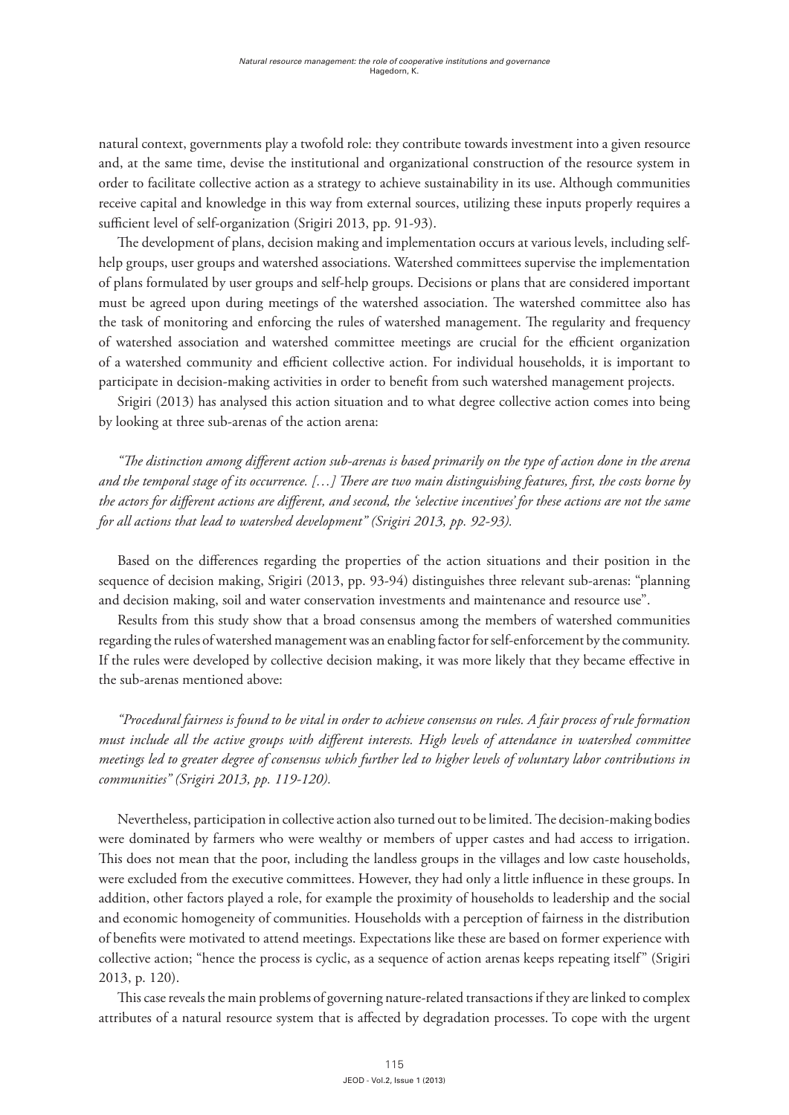natural context, governments play a twofold role: they contribute towards investment into a given resource and, at the same time, devise the institutional and organizational construction of the resource system in order to facilitate collective action as a strategy to achieve sustainability in its use. Although communities receive capital and knowledge in this way from external sources, utilizing these inputs properly requires a sufficient level of self-organization (Srigiri 2013, pp. 91-93).

The development of plans, decision making and implementation occurs at various levels, including selfhelp groups, user groups and watershed associations. Watershed committees supervise the implementation of plans formulated by user groups and self-help groups. Decisions or plans that are considered important must be agreed upon during meetings of the watershed association. The watershed committee also has the task of monitoring and enforcing the rules of watershed management. The regularity and frequency of watershed association and watershed committee meetings are crucial for the efficient organization of a watershed community and efficient collective action. For individual households, it is important to participate in decision-making activities in order to benefit from such watershed management projects.

Srigiri (2013) has analysed this action situation and to what degree collective action comes into being by looking at three sub-arenas of the action arena:

*"The distinction among different action sub-arenas is based primarily on the type of action done in the arena and the temporal stage of its occurrence. […] There are two main distinguishing features, first, the costs borne by the actors for different actions are different, and second, the 'selective incentives' for these actions are not the same for all actions that lead to watershed development" (Srigiri 2013, pp. 92-93).*

Based on the differences regarding the properties of the action situations and their position in the sequence of decision making, Srigiri (2013, pp. 93-94) distinguishes three relevant sub-arenas: "planning and decision making, soil and water conservation investments and maintenance and resource use".

Results from this study show that a broad consensus among the members of watershed communities regarding the rules of watershed management was an enabling factor for self-enforcement by the community. If the rules were developed by collective decision making, it was more likely that they became effective in the sub-arenas mentioned above:

*"Procedural fairness is found to be vital in order to achieve consensus on rules. A fair process of rule formation must include all the active groups with different interests. High levels of attendance in watershed committee meetings led to greater degree of consensus which further led to higher levels of voluntary labor contributions in communities" (Srigiri 2013, pp. 119-120).* 

Nevertheless, participation in collective action also turned out to be limited. The decision-making bodies were dominated by farmers who were wealthy or members of upper castes and had access to irrigation. This does not mean that the poor, including the landless groups in the villages and low caste households, were excluded from the executive committees. However, they had only a little influence in these groups. In addition, other factors played a role, for example the proximity of households to leadership and the social and economic homogeneity of communities. Households with a perception of fairness in the distribution of benefits were motivated to attend meetings. Expectations like these are based on former experience with collective action; "hence the process is cyclic, as a sequence of action arenas keeps repeating itself" (Srigiri 2013, p. 120).

This case reveals the main problems of governing nature-related transactions if they are linked to complex attributes of a natural resource system that is affected by degradation processes. To cope with the urgent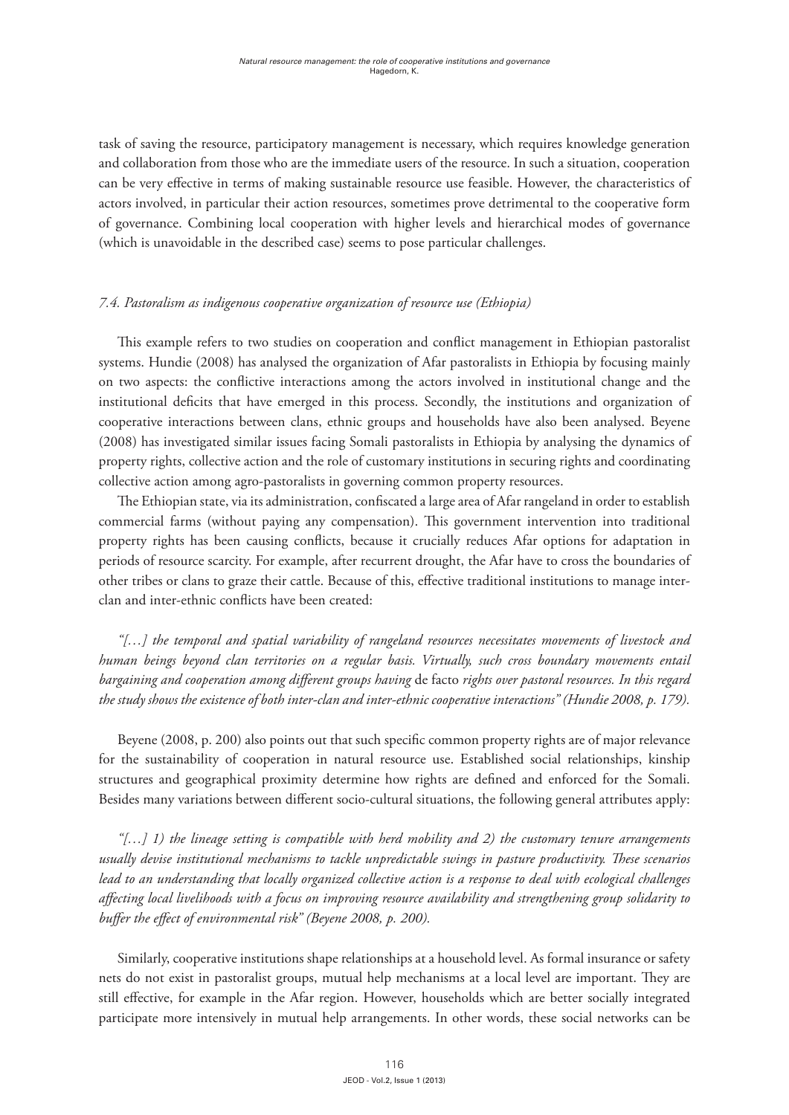task of saving the resource, participatory management is necessary, which requires knowledge generation and collaboration from those who are the immediate users of the resource. In such a situation, cooperation can be very effective in terms of making sustainable resource use feasible. However, the characteristics of actors involved, in particular their action resources, sometimes prove detrimental to the cooperative form of governance. Combining local cooperation with higher levels and hierarchical modes of governance (which is unavoidable in the described case) seems to pose particular challenges.

## *7.4. Pastoralism as indigenous cooperative organization of resource use (Ethiopia)*

This example refers to two studies on cooperation and conflict management in Ethiopian pastoralist systems. Hundie (2008) has analysed the organization of Afar pastoralists in Ethiopia by focusing mainly on two aspects: the conflictive interactions among the actors involved in institutional change and the institutional deficits that have emerged in this process. Secondly, the institutions and organization of cooperative interactions between clans, ethnic groups and households have also been analysed. Beyene (2008) has investigated similar issues facing Somali pastoralists in Ethiopia by analysing the dynamics of property rights, collective action and the role of customary institutions in securing rights and coordinating collective action among agro-pastoralists in governing common property resources.

The Ethiopian state, via its administration, confiscated a large area of Afar rangeland in order to establish commercial farms (without paying any compensation). This government intervention into traditional property rights has been causing conflicts, because it crucially reduces Afar options for adaptation in periods of resource scarcity. For example, after recurrent drought, the Afar have to cross the boundaries of other tribes or clans to graze their cattle. Because of this, effective traditional institutions to manage interclan and inter-ethnic conflicts have been created:

*"[…] the temporal and spatial variability of rangeland resources necessitates movements of livestock and human beings beyond clan territories on a regular basis. Virtually, such cross boundary movements entail bargaining and cooperation among different groups having* de facto *rights over pastoral resources. In this regard the study shows the existence of both inter-clan and inter-ethnic cooperative interactions" (Hundie 2008, p. 179).*

Beyene (2008, p. 200) also points out that such specific common property rights are of major relevance for the sustainability of cooperation in natural resource use. Established social relationships, kinship structures and geographical proximity determine how rights are defined and enforced for the Somali. Besides many variations between different socio-cultural situations, the following general attributes apply:

*"[…] 1) the lineage setting is compatible with herd mobility and 2) the customary tenure arrangements usually devise institutional mechanisms to tackle unpredictable swings in pasture productivity. These scenarios lead to an understanding that locally organized collective action is a response to deal with ecological challenges affecting local livelihoods with a focus on improving resource availability and strengthening group solidarity to buffer the effect of environmental risk" (Beyene 2008, p. 200).*

Similarly, cooperative institutions shape relationships at a household level. As formal insurance or safety nets do not exist in pastoralist groups, mutual help mechanisms at a local level are important. They are still effective, for example in the Afar region. However, households which are better socially integrated participate more intensively in mutual help arrangements. In other words, these social networks can be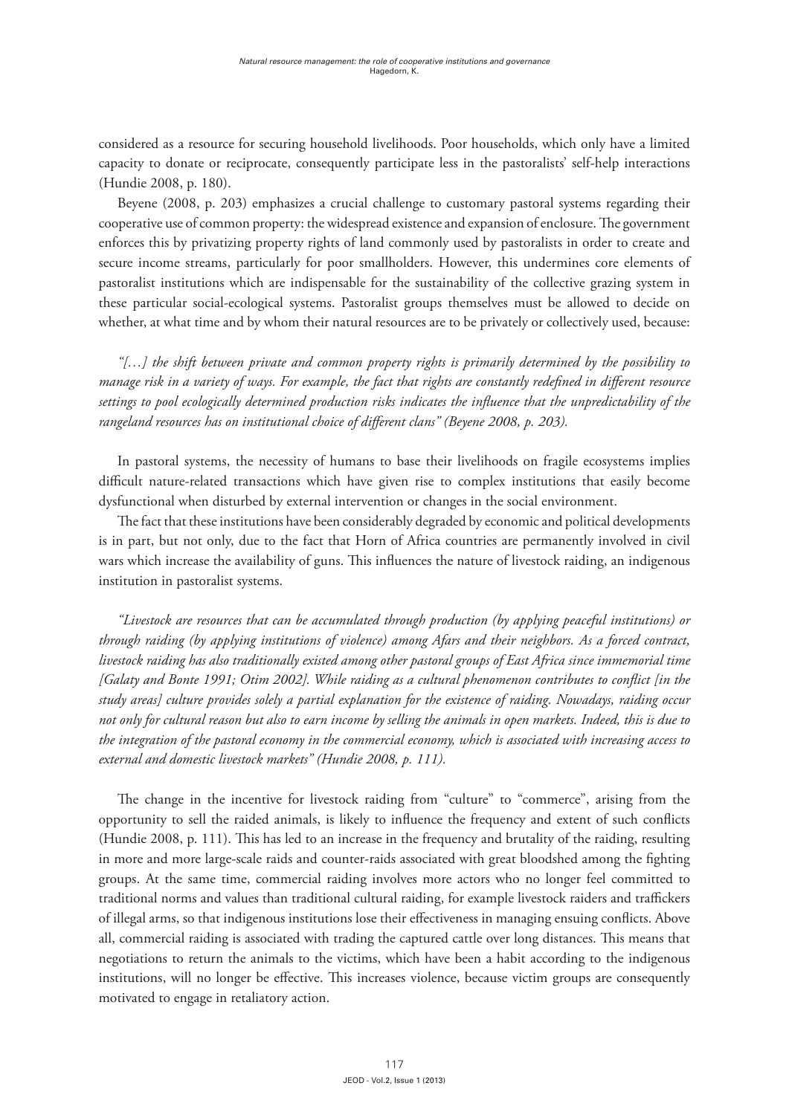considered as a resource for securing household livelihoods. Poor households, which only have a limited capacity to donate or reciprocate, consequently participate less in the pastoralists' self-help interactions (Hundie 2008, p. 180).

Beyene (2008, p. 203) emphasizes a crucial challenge to customary pastoral systems regarding their cooperative use of common property: the widespread existence and expansion of enclosure. The government enforces this by privatizing property rights of land commonly used by pastoralists in order to create and secure income streams, particularly for poor smallholders. However, this undermines core elements of pastoralist institutions which are indispensable for the sustainability of the collective grazing system in these particular social-ecological systems. Pastoralist groups themselves must be allowed to decide on whether, at what time and by whom their natural resources are to be privately or collectively used, because:

*"[…] the shift between private and common property rights is primarily determined by the possibility to manage risk in a variety of ways. For example, the fact that rights are constantly redefined in different resource settings to pool ecologically determined production risks indicates the influence that the unpredictability of the rangeland resources has on institutional choice of different clans" (Beyene 2008, p. 203).*

In pastoral systems, the necessity of humans to base their livelihoods on fragile ecosystems implies difficult nature-related transactions which have given rise to complex institutions that easily become dysfunctional when disturbed by external intervention or changes in the social environment.

The fact that these institutions have been considerably degraded by economic and political developments is in part, but not only, due to the fact that Horn of Africa countries are permanently involved in civil wars which increase the availability of guns. This influences the nature of livestock raiding, an indigenous institution in pastoralist systems.

*"Livestock are resources that can be accumulated through production (by applying peaceful institutions) or through raiding (by applying institutions of violence) among Afars and their neighbors. As a forced contract, livestock raiding has also traditionally existed among other pastoral groups of East Africa since immemorial time [Galaty and Bonte 1991; Otim 2002]. While raiding as a cultural phenomenon contributes to conflict [in the study areas] culture provides solely a partial explanation for the existence of raiding. Nowadays, raiding occur not only for cultural reason but also to earn income by selling the animals in open markets. Indeed, this is due to the integration of the pastoral economy in the commercial economy, which is associated with increasing access to external and domestic livestock markets" (Hundie 2008, p. 111).*

The change in the incentive for livestock raiding from "culture" to "commerce", arising from the opportunity to sell the raided animals, is likely to influence the frequency and extent of such conflicts (Hundie 2008, p. 111). This has led to an increase in the frequency and brutality of the raiding, resulting in more and more large-scale raids and counter-raids associated with great bloodshed among the fighting groups. At the same time, commercial raiding involves more actors who no longer feel committed to traditional norms and values than traditional cultural raiding, for example livestock raiders and traffickers of illegal arms, so that indigenous institutions lose their effectiveness in managing ensuing conflicts. Above all, commercial raiding is associated with trading the captured cattle over long distances. This means that negotiations to return the animals to the victims, which have been a habit according to the indigenous institutions, will no longer be effective. This increases violence, because victim groups are consequently motivated to engage in retaliatory action.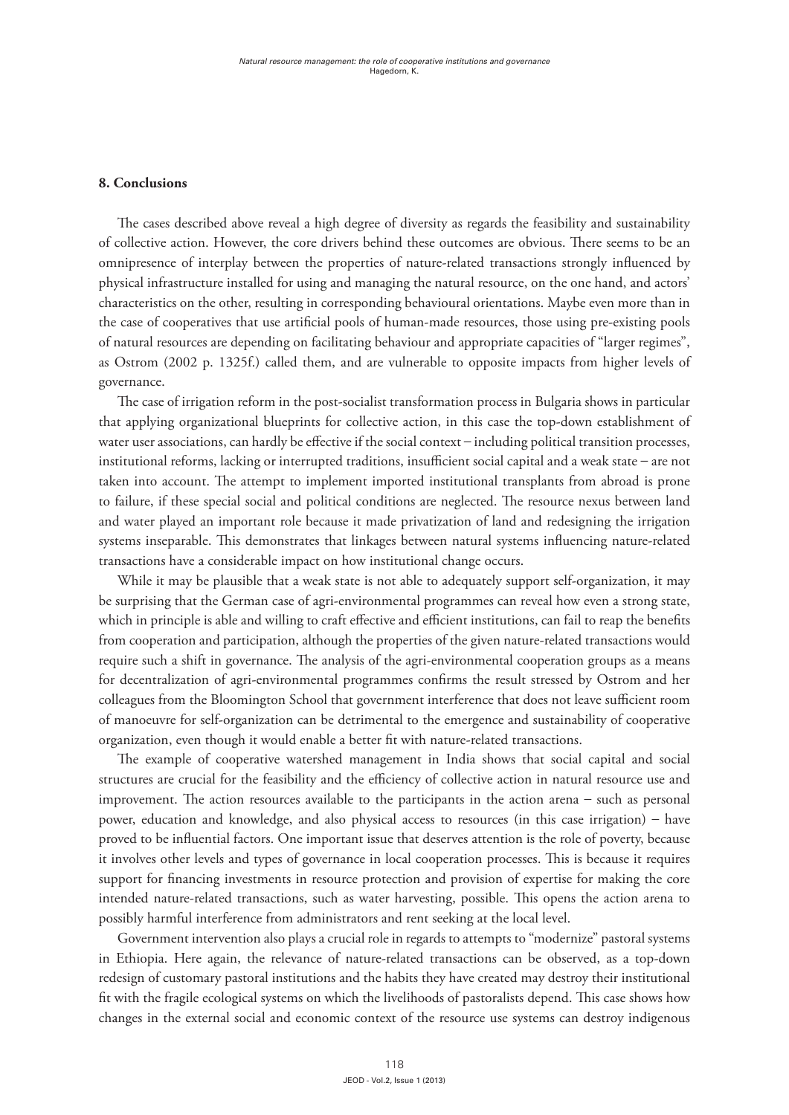## **8. Conclusions**

The cases described above reveal a high degree of diversity as regards the feasibility and sustainability of collective action. However, the core drivers behind these outcomes are obvious. There seems to be an omnipresence of interplay between the properties of nature-related transactions strongly influenced by physical infrastructure installed for using and managing the natural resource, on the one hand, and actors' characteristics on the other, resulting in corresponding behavioural orientations. Maybe even more than in the case of cooperatives that use artificial pools of human-made resources, those using pre-existing pools of natural resources are depending on facilitating behaviour and appropriate capacities of "larger regimes", as Ostrom (2002 p. 1325f.) called them, and are vulnerable to opposite impacts from higher levels of governance.

The case of irrigation reform in the post-socialist transformation process in Bulgaria shows in particular that applying organizational blueprints for collective action, in this case the top-down establishment of water user associations, can hardly be effective if the social context – including political transition processes, institutional reforms, lacking or interrupted traditions, insufficient social capital and a weak state – are not taken into account. The attempt to implement imported institutional transplants from abroad is prone to failure, if these special social and political conditions are neglected. The resource nexus between land and water played an important role because it made privatization of land and redesigning the irrigation systems inseparable. This demonstrates that linkages between natural systems influencing nature-related transactions have a considerable impact on how institutional change occurs.

While it may be plausible that a weak state is not able to adequately support self-organization, it may be surprising that the German case of agri-environmental programmes can reveal how even a strong state, which in principle is able and willing to craft effective and efficient institutions, can fail to reap the benefits from cooperation and participation, although the properties of the given nature-related transactions would require such a shift in governance. The analysis of the agri-environmental cooperation groups as a means for decentralization of agri-environmental programmes confirms the result stressed by Ostrom and her colleagues from the Bloomington School that government interference that does not leave sufficient room of manoeuvre for self-organization can be detrimental to the emergence and sustainability of cooperative organization, even though it would enable a better fit with nature-related transactions.

The example of cooperative watershed management in India shows that social capital and social structures are crucial for the feasibility and the efficiency of collective action in natural resource use and improvement. The action resources available to the participants in the action arena – such as personal power, education and knowledge, and also physical access to resources (in this case irrigation) – have proved to be influential factors. One important issue that deserves attention is the role of poverty, because it involves other levels and types of governance in local cooperation processes. This is because it requires support for financing investments in resource protection and provision of expertise for making the core intended nature-related transactions, such as water harvesting, possible. This opens the action arena to possibly harmful interference from administrators and rent seeking at the local level.

Government intervention also plays a crucial role in regards to attempts to "modernize" pastoral systems in Ethiopia. Here again, the relevance of nature-related transactions can be observed, as a top-down redesign of customary pastoral institutions and the habits they have created may destroy their institutional fit with the fragile ecological systems on which the livelihoods of pastoralists depend. This case shows how changes in the external social and economic context of the resource use systems can destroy indigenous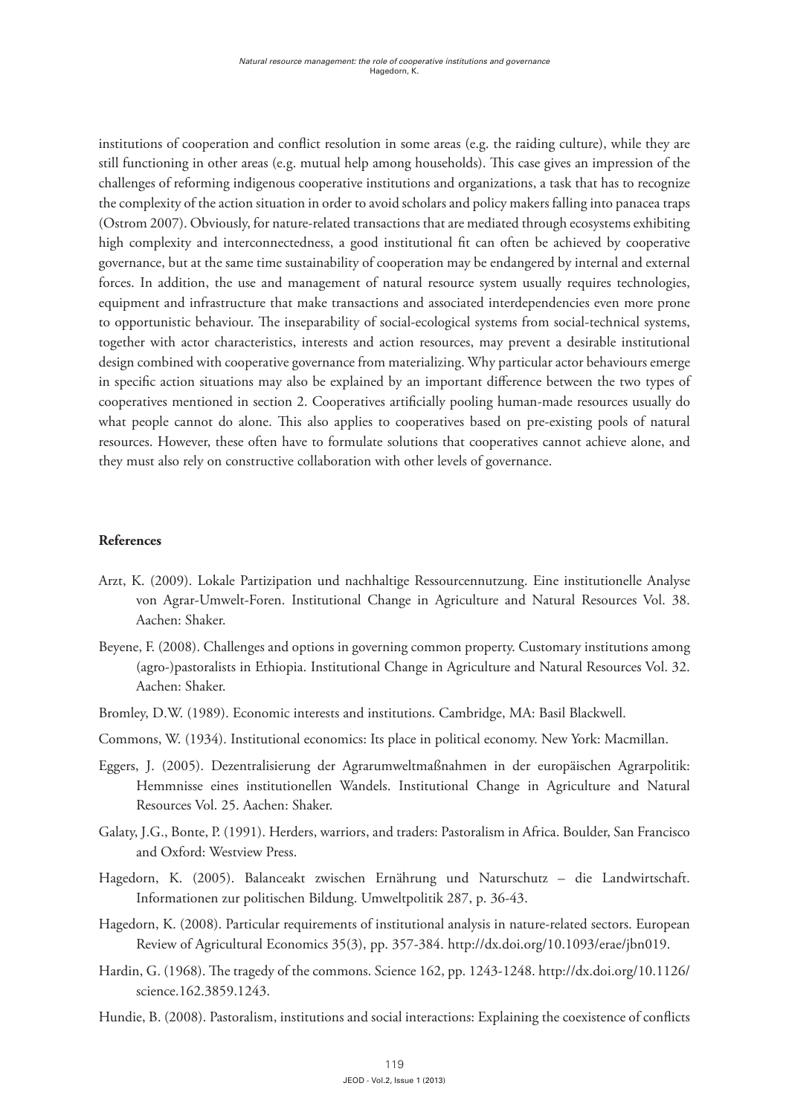institutions of cooperation and conflict resolution in some areas (e.g. the raiding culture), while they are still functioning in other areas (e.g. mutual help among households). This case gives an impression of the challenges of reforming indigenous cooperative institutions and organizations, a task that has to recognize the complexity of the action situation in order to avoid scholars and policy makers falling into panacea traps (Ostrom 2007). Obviously, for nature-related transactions that are mediated through ecosystems exhibiting high complexity and interconnectedness, a good institutional fit can often be achieved by cooperative governance, but at the same time sustainability of cooperation may be endangered by internal and external forces. In addition, the use and management of natural resource system usually requires technologies, equipment and infrastructure that make transactions and associated interdependencies even more prone to opportunistic behaviour. The inseparability of social-ecological systems from social-technical systems, together with actor characteristics, interests and action resources, may prevent a desirable institutional design combined with cooperative governance from materializing. Why particular actor behaviours emerge in specific action situations may also be explained by an important difference between the two types of cooperatives mentioned in section 2. Cooperatives artificially pooling human-made resources usually do what people cannot do alone. This also applies to cooperatives based on pre-existing pools of natural resources. However, these often have to formulate solutions that cooperatives cannot achieve alone, and they must also rely on constructive collaboration with other levels of governance.

## **References**

- Arzt, K. (2009). Lokale Partizipation und nachhaltige Ressourcennutzung. Eine institutionelle Analyse von Agrar-Umwelt-Foren. Institutional Change in Agriculture and Natural Resources Vol. 38. Aachen: Shaker.
- Beyene, F. (2008). Challenges and options in governing common property. Customary institutions among (agro-)pastoralists in Ethiopia. Institutional Change in Agriculture and Natural Resources Vol. 32. Aachen: Shaker.
- Bromley, D.W. (1989). Economic interests and institutions. Cambridge, MA: Basil Blackwell.
- Commons, W. (1934). Institutional economics: Its place in political economy. New York: Macmillan.
- Eggers, J. (2005). Dezentralisierung der Agrarumweltmaßnahmen in der europäischen Agrarpolitik: Hemmnisse eines institutionellen Wandels. Institutional Change in Agriculture and Natural Resources Vol. 25. Aachen: Shaker.
- Galaty, J.G., Bonte, P. (1991). Herders, warriors, and traders: Pastoralism in Africa. Boulder, San Francisco and Oxford: Westview Press.
- Hagedorn, K. (2005). Balanceakt zwischen Ernährung und Naturschutz die Landwirtschaft. Informationen zur politischen Bildung. Umweltpolitik 287, p. 36-43.
- Hagedorn, K. (2008). Particular requirements of institutional analysis in nature-related sectors. European Review of Agricultural Economics 35(3), pp. 357-384. http://dx.doi.org/10.1093/erae/jbn019.
- Hardin, G. (1968). The tragedy of the commons. Science 162, pp. 1243-1248. http://dx.doi.org/10.1126/ science.162.3859.1243.
- Hundie, B. (2008). Pastoralism, institutions and social interactions: Explaining the coexistence of conflicts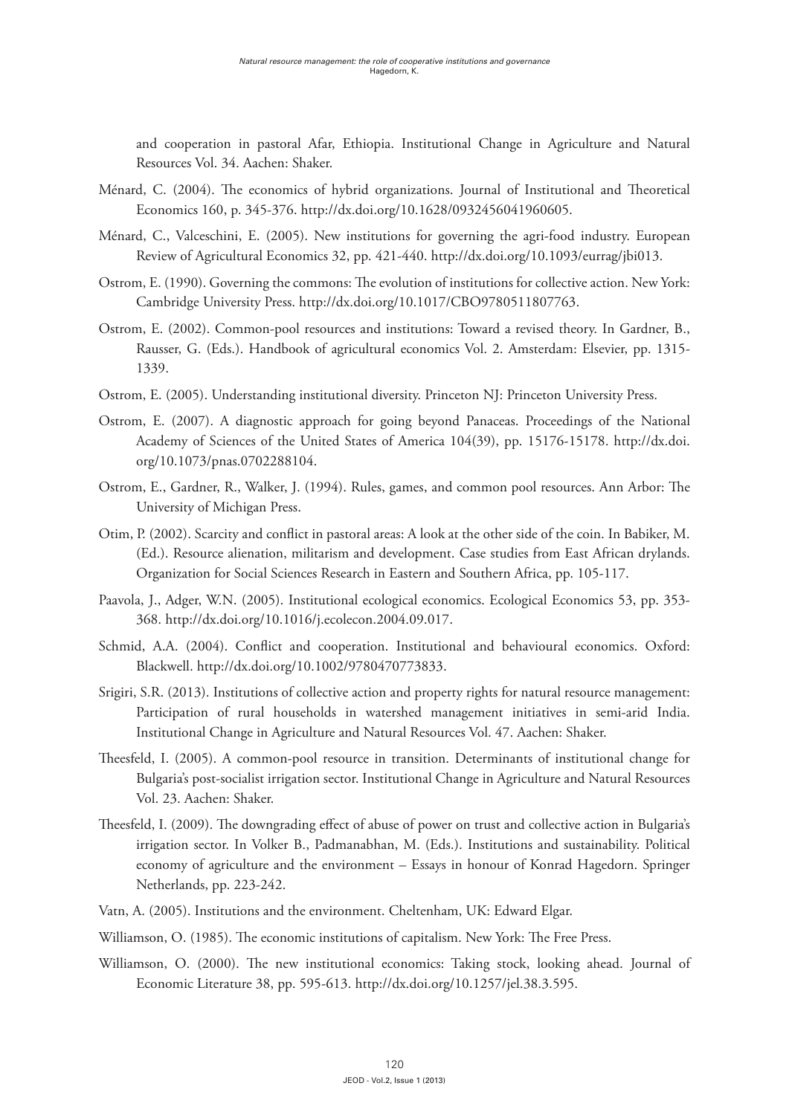and cooperation in pastoral Afar, Ethiopia. Institutional Change in Agriculture and Natural Resources Vol. 34. Aachen: Shaker.

- Ménard, C. (2004). The economics of hybrid organizations. Journal of Institutional and Theoretical Economics 160, p. 345-376. http://dx.doi.org/10.1628/0932456041960605.
- Ménard, C., Valceschini, E. (2005). New institutions for governing the agri-food industry. European Review of Agricultural Economics 32, pp. 421-440. http://dx.doi.org/10.1093/eurrag/jbi013.
- Ostrom, E. (1990). Governing the commons: The evolution of institutions for collective action. New York: Cambridge University Press. http://dx.doi.org/10.1017/CBO9780511807763.
- Ostrom, E. (2002). Common-pool resources and institutions: Toward a revised theory. In Gardner, B., Rausser, G. (Eds.). Handbook of agricultural economics Vol. 2. Amsterdam: Elsevier, pp. 1315- 1339.
- Ostrom, E. (2005). Understanding institutional diversity. Princeton NJ: Princeton University Press.
- Ostrom, E. (2007). A diagnostic approach for going beyond Panaceas. Proceedings of the National Academy of Sciences of the United States of America 104(39), pp. 15176-15178. http://dx.doi. org/10.1073/pnas.0702288104.
- Ostrom, E., Gardner, R., Walker, J. (1994). Rules, games, and common pool resources. Ann Arbor: The University of Michigan Press.
- Otim, P. (2002). Scarcity and conflict in pastoral areas: A look at the other side of the coin. In Babiker, M. (Ed.). Resource alienation, militarism and development. Case studies from East African drylands. Organization for Social Sciences Research in Eastern and Southern Africa, pp. 105-117.
- Paavola, J., Adger, W.N. (2005). Institutional ecological economics. Ecological Economics 53, pp. 353- 368. http://dx.doi.org/10.1016/j.ecolecon.2004.09.017.
- Schmid, A.A. (2004). Conflict and cooperation. Institutional and behavioural economics. Oxford: Blackwell. http://dx.doi.org/10.1002/9780470773833.
- Srigiri, S.R. (2013). Institutions of collective action and property rights for natural resource management: Participation of rural households in watershed management initiatives in semi-arid India. Institutional Change in Agriculture and Natural Resources Vol. 47. Aachen: Shaker.
- Theesfeld, I. (2005). A common-pool resource in transition. Determinants of institutional change for Bulgaria's post-socialist irrigation sector. Institutional Change in Agriculture and Natural Resources Vol. 23. Aachen: Shaker.
- Theesfeld, I. (2009). The downgrading effect of abuse of power on trust and collective action in Bulgaria's irrigation sector. In Volker B., Padmanabhan, M. (Eds.). Institutions and sustainability. Political economy of agriculture and the environment – Essays in honour of Konrad Hagedorn. Springer Netherlands, pp. 223-242.
- Vatn, A. (2005). Institutions and the environment. Cheltenham, UK: Edward Elgar.
- Williamson, O. (1985). The economic institutions of capitalism. New York: The Free Press.
- Williamson, O. (2000). The new institutional economics: Taking stock, looking ahead. Journal of Economic Literature 38, pp. 595-613. http://dx.doi.org/10.1257/jel.38.3.595.